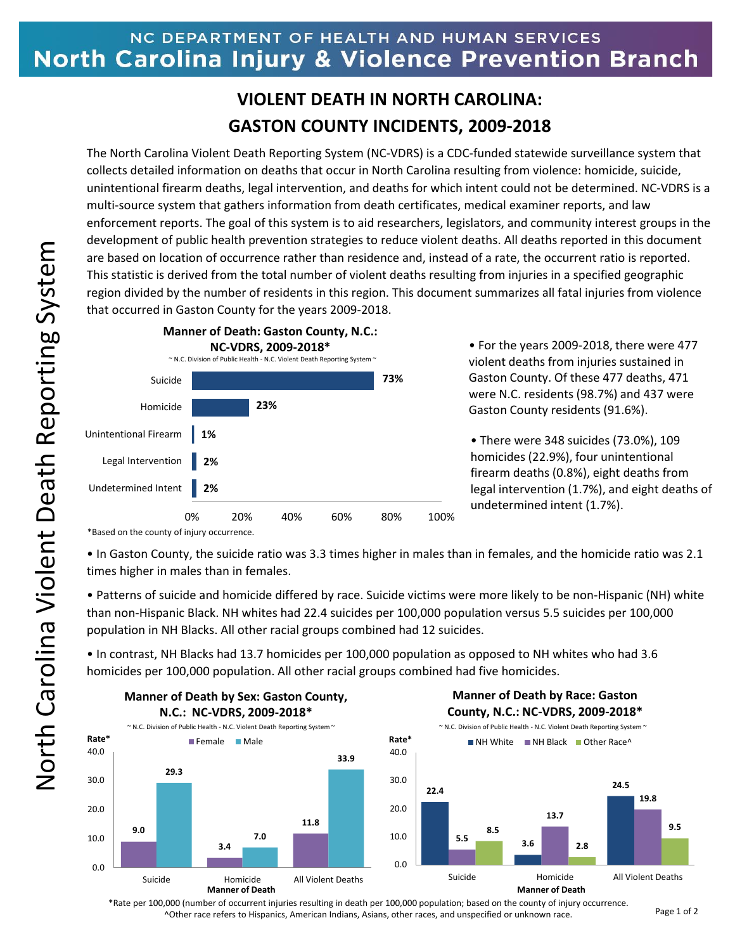## NC DEPARTMENT OF HEALTH AND HUMAN SERVICES North Carolina Injury & Violence Prevention Branch

## **VIOLENT DEATH IN NORTH CAROLINA: GASTON COUNTY INCIDENTS, 2009-2018**

The North Carolina Violent Death Reporting System (NC-VDRS) is a CDC-funded statewide surveillance system that collects detailed information on deaths that occur in North Carolina resulting from violence: homicide, suicide, unintentional firearm deaths, legal intervention, and deaths for which intent could not be determined. NC-VDRS is a multi-source system that gathers information from death certificates, medical examiner reports, and law enforcement reports. The goal of this system is to aid researchers, legislators, and community interest groups in the development of public health prevention strategies to reduce violent deaths. All deaths reported in this document are based on location of occurrence rather than residence and, instead of a rate, the occurrent ratio is reported. This statistic is derived from the total number of violent deaths resulting from injuries in a specified geographic region divided by the number of residents in this region. This document summarizes all fatal injuries from violence that occurred in Gaston County for the years 2009-2018.



• For the years 2009-2018, there were 477 violent deaths from injuries sustained in Gaston County. Of these 477 deaths, 471 were N.C. residents (98.7%) and 437 were Gaston County residents (91.6%).

• There were 348 suicides (73.0%), 109 homicides (22.9%), four unintentional firearm deaths (0.8%), eight deaths from legal intervention (1.7%), and eight deaths of undetermined intent (1.7%).

\*Based on the county of injury occurrence.

• In Gaston County, the suicide ratio was 3.3 times higher in males than in females, and the homicide ratio was 2.1 times higher in males than in females.

• Patterns of suicide and homicide differed by race. Suicide victims were more likely to be non-Hispanic (NH) white than non-Hispanic Black. NH whites had 22.4 suicides per 100,000 population versus 5.5 suicides per 100,000 population in NH Blacks. All other racial groups combined had 12 suicides.

• In contrast, NH Blacks had 13.7 homicides per 100,000 population as opposed to NH whites who had 3.6 homicides per 100,000 population. All other racial groups combined had five homicides.



\*Rate per 100,000 (number of occurrent injuries resulting in death per 100,000 population; based on the county of injury occurrence. ^Other race refers to Hispanics, American Indians, Asians, other races, and unspecified or unknown race.